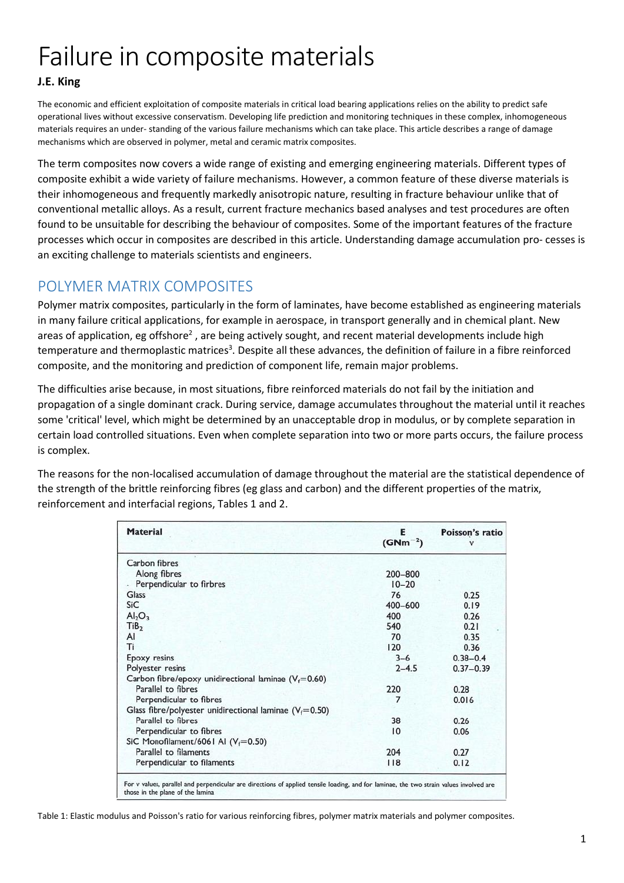# Failure in composite materials

#### **J.E. King**

The economic and efficient exploitation of composite materials in critical load bearing applications relies on the ability to predict safe operational lives without excessive conservatism. Developing life prediction and monitoring techniques in these complex, inhomogeneous materials requires an under- standing of the various failure mechanisms which can take place. This article describes a range of damage mechanisms which are observed in polymer, metal and ceramic matrix composites.

The term composites now covers a wide range of existing and emerging engineering materials. Different types of composite exhibit a wide variety of failure mechanisms. However, a common feature of these diverse materials is their inhomogeneous and frequently markedly anisotropic nature, resulting in fracture behaviour unlike that of conventional metallic alloys. As a result, current fracture mechanics based analyses and test procedures are often found to be unsuitable for describing the behaviour of composites. Some of the important features of the fracture processes which occur in composites are described in this article. Understanding damage accumulation pro- cesses is an exciting challenge to materials scientists and engineers.

## POLYMER MATRIX COMPOSITES

Polymer matrix composites, particularly in the form of laminates, have become established as engineering materials in many failure critical applications, for example in aerospace, in transport generally and in chemical plant. New areas of application, eg offshore<sup>2</sup>, are being actively sought, and recent material developments include high temperature and thermoplastic matrices<sup>3</sup>. Despite all these advances, the definition of failure in a fibre reinforced composite, and the monitoring and prediction of component life, remain major problems.

The difficulties arise because, in most situations, fibre reinforced materials do not fail by the initiation and propagation of a single dominant crack. During service, damage accumulates throughout the material until it reaches some 'critical' level, which might be determined by an unacceptable drop in modulus, or by complete separation in certain load controlled situations. Even when complete separation into two or more parts occurs, the failure process is complex.

The reasons for the non-localised accumulation of damage throughout the material are the statistical dependence of the strength of the brittle reinforcing fibres (eg glass and carbon) and the different properties of the matrix, reinforcement and interfacial regions, Tables 1 and 2.

| <b>Material</b>                                             | Е<br>$(GNm^{-2})$ | Poisson's ratio |
|-------------------------------------------------------------|-------------------|-----------------|
| Carbon fibres                                               |                   |                 |
| Along fibres                                                | 200-800           |                 |
| Perpendicular to firbres                                    | $10 - 20$         |                 |
| Glass                                                       | 76                | 0.25            |
| SiC                                                         | $400 - 600$       | 0.19            |
| Al <sub>2</sub> O <sub>3</sub>                              | 400               | 0.26            |
| TiB <sub>2</sub>                                            | 540               | 0.21            |
| AI                                                          | 70                | 0.35            |
| Tì                                                          | 120               | 0.36            |
| Epoxy resins                                                | $3 - 6$           | $0.38 - 0.4$    |
| Polyester resins                                            | $2 - 4.5$         | $0.37 - 0.39$   |
| Carbon fibre/epoxy unidirectional laminae ( $V_f$ =0.60)    |                   |                 |
| Parallel to fibres                                          | 220               | 0.28            |
| Perpendicular to fibres                                     | 7                 | 0.016           |
| Glass fibre/polyester unidirectional laminae ( $V_f$ =0.50) |                   |                 |
| Parallel to fibres                                          | 38                | 0.26            |
| Perpendicular to fibres                                     | 10                | 0.06            |
| SiC Monofilament/6061 Al ( $V_f$ =0.50)                     |                   |                 |
| Parallel to filaments                                       | 204               | 0.27            |
| Perpendicular to filaments                                  | 118               | 0.12            |

Table 1: Elastic modulus and Poisson's ratio for various reinforcing fibres, polymer matrix materials and polymer composites.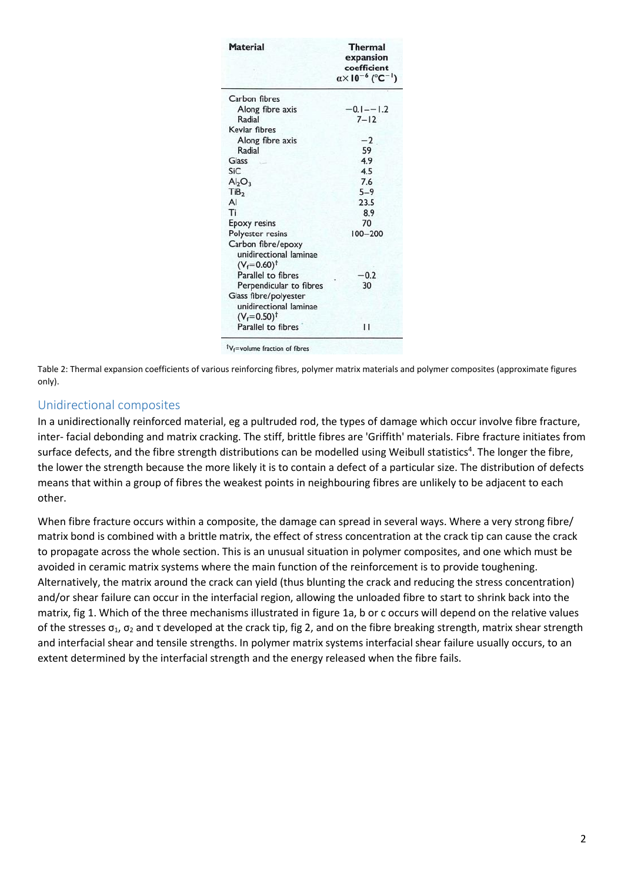| <b>Material</b>                                                             | <b>Thermal</b><br>expansion<br>coefficient<br>$\alpha \times 10^{-6}$ (°C <sup>-1</sup> ) |  |
|-----------------------------------------------------------------------------|-------------------------------------------------------------------------------------------|--|
| Carbon fibres                                                               |                                                                                           |  |
| Along fibre axis                                                            | $-0.1 - -1.2$                                                                             |  |
| Radial                                                                      | $7 - 12$                                                                                  |  |
| Kevlar fibres                                                               |                                                                                           |  |
| Along fibre axis                                                            | $-2$                                                                                      |  |
| Radial                                                                      | 59                                                                                        |  |
| Glass                                                                       | 4.9                                                                                       |  |
| SiC                                                                         | 4.5                                                                                       |  |
| Al <sub>2</sub> O <sub>3</sub>                                              | 7.6                                                                                       |  |
| TiB <sub>2</sub>                                                            | $5 - 9$                                                                                   |  |
| AI                                                                          | 23.5                                                                                      |  |
| Ti                                                                          | 8.9                                                                                       |  |
| <b>Epoxy resins</b>                                                         | 70                                                                                        |  |
| Polyester resins                                                            | $100 - 200$                                                                               |  |
| Carbon fibre/epoxy<br>unidirectional laminae<br>$(V_f = 0.60)^{\dagger}$    |                                                                                           |  |
| Parallel to fibres                                                          | $-0.2$                                                                                    |  |
| Perpendicular to fibres                                                     | 30                                                                                        |  |
| Glass fibre/polyester<br>unidirectional laminae<br>$(V_f = 0.50)^{\dagger}$ |                                                                                           |  |
| Parallel to fibres                                                          | н                                                                                         |  |

Table 2: Thermal expansion coefficients of various reinforcing fibres, polymer matrix materials and polymer composites (approximate figures only).

#### Unidirectional composites

In a unidirectionally reinforced material, eg a pultruded rod, the types of damage which occur involve fibre fracture, inter- facial debonding and matrix cracking. The stiff, brittle fibres are 'Griffith' materials. Fibre fracture initiates from surface defects, and the fibre strength distributions can be modelled using Weibull statistics<sup>4</sup>. The longer the fibre, the lower the strength because the more likely it is to contain a defect of a particular size. The distribution of defects means that within a group of fibres the weakest points in neighbouring fibres are unlikely to be adjacent to each other.

When fibre fracture occurs within a composite, the damage can spread in several ways. Where a very strong fibre/ matrix bond is combined with a brittle matrix, the effect of stress concentration at the crack tip can cause the crack to propagate across the whole section. This is an unusual situation in polymer composites, and one which must be avoided in ceramic matrix systems where the main function of the reinforcement is to provide toughening. Alternatively, the matrix around the crack can yield (thus blunting the crack and reducing the stress concentration) and/or shear failure can occur in the interfacial region, allowing the unloaded fibre to start to shrink back into the matrix, fig 1. Which of the three mechanisms illustrated in figure 1a, b or c occurs will depend on the relative values of the stresses  $σ_1$ ,  $σ_2$  and τ developed at the crack tip, fig 2, and on the fibre breaking strength, matrix shear strength and interfacial shear and tensile strengths. In polymer matrix systems interfacial shear failure usually occurs, to an extent determined by the interfacial strength and the energy released when the fibre fails.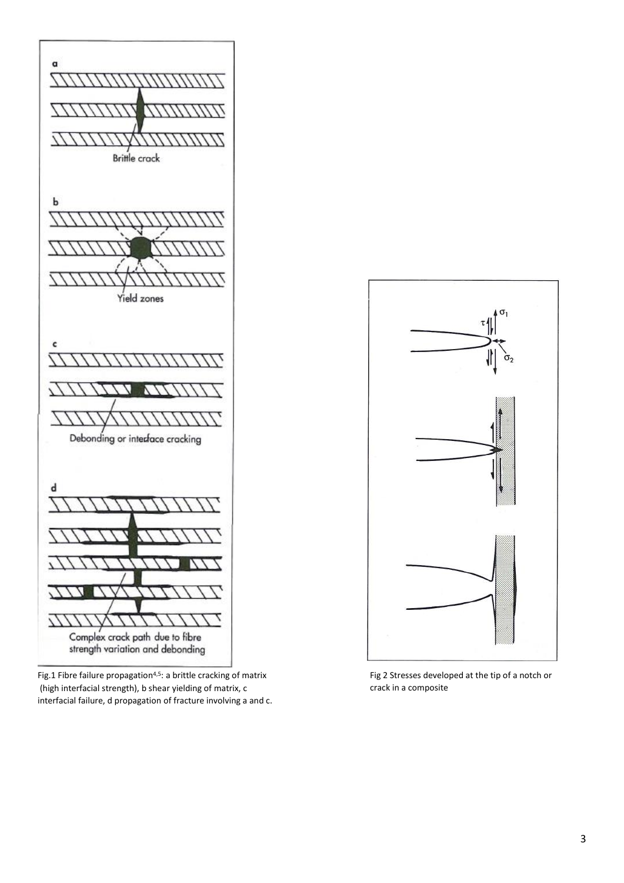

Fig.1 Fibre failure propagation<sup>4,5</sup>: a brittle cracking of matrix (high interfacial strength), b shear yielding of matrix, c interfacial failure, d propagation of fracture involving a and c.



Fig 2 Stresses developed at the tip of a notch or crack in a composite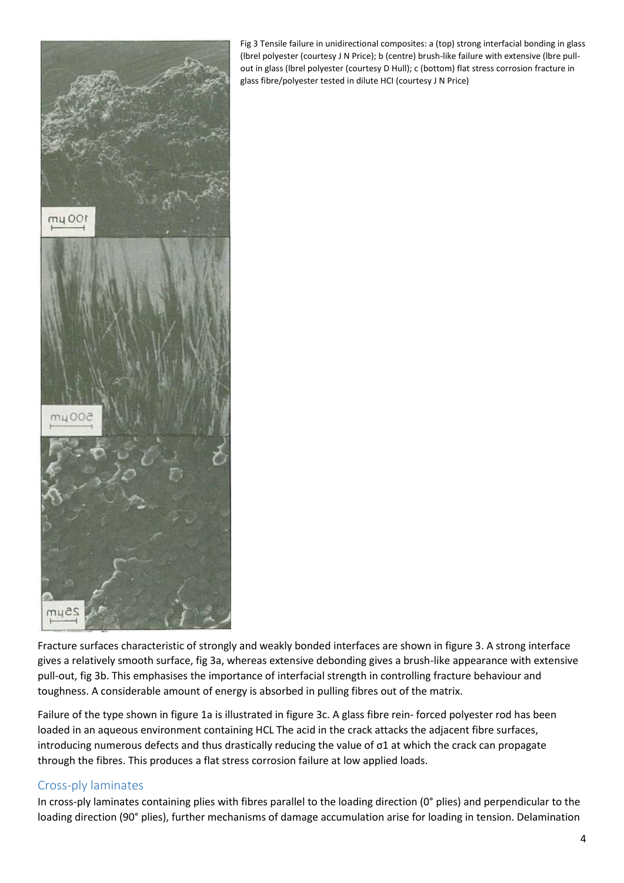

Fig 3 Tensile failure in unidirectional composites: a (top) strong interfacial bonding in glass (lbrel polyester (courtesy J N Price); b (centre) brush-like failure with extensive (lbre pullout in glass (lbrel polyester (courtesy D Hull); c (bottom) flat stress corrosion fracture in glass fibre/polyester tested in dilute HCI (courtesy J N Price)

Fracture surfaces characteristic of strongly and weakly bonded interfaces are shown in figure 3. A strong interface gives a relatively smooth surface, fig 3a, whereas extensive debonding gives a brush-like appearance with extensive pull-out, fig 3b. This emphasises the importance of interfacial strength in controlling fracture behaviour and toughness. A considerable amount of energy is absorbed in pulling fibres out of the matrix.

Failure of the type shown in figure 1a is illustrated in figure 3c. A glass fibre rein- forced polyester rod has been loaded in an aqueous environment containing HCL The acid in the crack attacks the adjacent fibre surfaces, introducing numerous defects and thus drastically reducing the value of σ1 at which the crack can propagate through the fibres. This produces a flat stress corrosion failure at low applied loads.

#### Cross-ply laminates

In cross-ply laminates containing plies with fibres parallel to the loading direction (0° plies) and perpendicular to the loading direction (90° plies), further mechanisms of damage accumulation arise for loading in tension. Delamination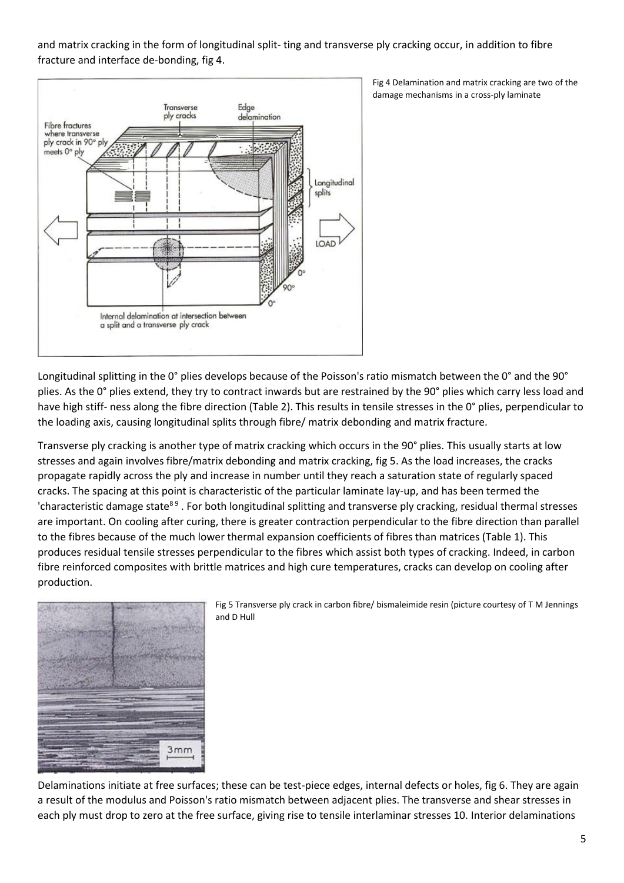and matrix cracking in the form of longitudinal split- ting and transverse ply cracking occur, in addition to fibre fracture and interface de-bonding, fig 4.



Fig 4 Delamination and matrix cracking are two of the damage mechanisms in a cross-ply laminate

Longitudinal splitting in the 0° plies develops because of the Poisson's ratio mismatch between the 0° and the 90° plies. As the 0° plies extend, they try to contract inwards but are restrained by the 90° plies which carry less load and have high stiff- ness along the fibre direction (Table 2). This results in tensile stresses in the 0° plies, perpendicular to the loading axis, causing longitudinal splits through fibre/ matrix debonding and matrix fracture.

Transverse ply cracking is another type of matrix cracking which occurs in the 90° plies. This usually starts at low stresses and again involves fibre/matrix debonding and matrix cracking, fig 5. As the load increases, the cracks propagate rapidly across the ply and increase in number until they reach a saturation state of regularly spaced cracks. The spacing at this point is characteristic of the particular laminate lay-up, and has been termed the 'characteristic damage state<sup>89</sup>. For both longitudinal splitting and transverse ply cracking, residual thermal stresses are important. On cooling after curing, there is greater contraction perpendicular to the fibre direction than parallel to the fibres because of the much lower thermal expansion coefficients of fibres than matrices (Table 1). This produces residual tensile stresses perpendicular to the fibres which assist both types of cracking. Indeed, in carbon fibre reinforced composites with brittle matrices and high cure temperatures, cracks can develop on cooling after production.



Fig 5 Transverse ply crack in carbon fibre/ bismaleimide resin (picture courtesy of T M Jennings and D Hull

Delaminations initiate at free surfaces; these can be test-piece edges, internal defects or holes, fig 6. They are again a result of the modulus and Poisson's ratio mismatch between adjacent plies. The transverse and shear stresses in each ply must drop to zero at the free surface, giving rise to tensile interlaminar stresses 10. Interior delaminations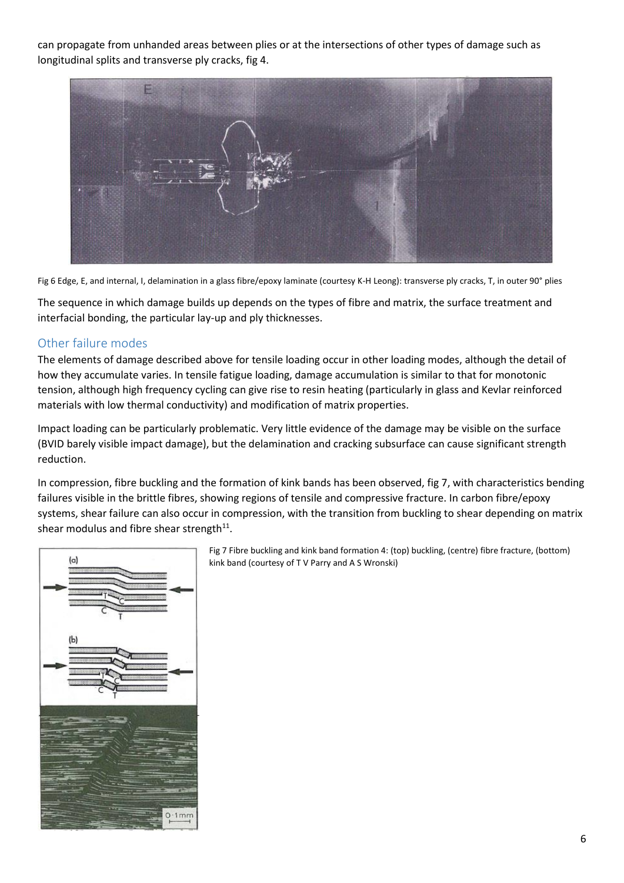can propagate from unhanded areas between plies or at the intersections of other types of damage such as longitudinal splits and transverse ply cracks, fig 4.



Fig 6 Edge, E, and internal, I, delamination in a glass fibre/epoxy laminate (courtesy K-H Leong): transverse ply cracks, T, in outer 90° plies

The sequence in which damage builds up depends on the types of fibre and matrix, the surface treatment and interfacial bonding, the particular lay-up and ply thicknesses.

#### Other failure modes

The elements of damage described above for tensile loading occur in other loading modes, although the detail of how they accumulate varies. In tensile fatigue loading, damage accumulation is similar to that for monotonic tension, although high frequency cycling can give rise to resin heating (particularly in glass and Kevlar reinforced materials with low thermal conductivity) and modification of matrix properties.

Impact loading can be particularly problematic. Very little evidence of the damage may be visible on the surface (BVID barely visible impact damage), but the delamination and cracking subsurface can cause significant strength reduction.

In compression, fibre buckling and the formation of kink bands has been observed, fig 7, with characteristics bending failures visible in the brittle fibres, showing regions of tensile and compressive fracture. In carbon fibre/epoxy systems, shear failure can also occur in compression, with the transition from buckling to shear depending on matrix shear modulus and fibre shear strength $^{11}$ .



Fig 7 Fibre buckling and kink band formation 4: (top) buckling, (centre) fibre fracture, (bottom) kink band (courtesy of T V Parry and A S Wronski)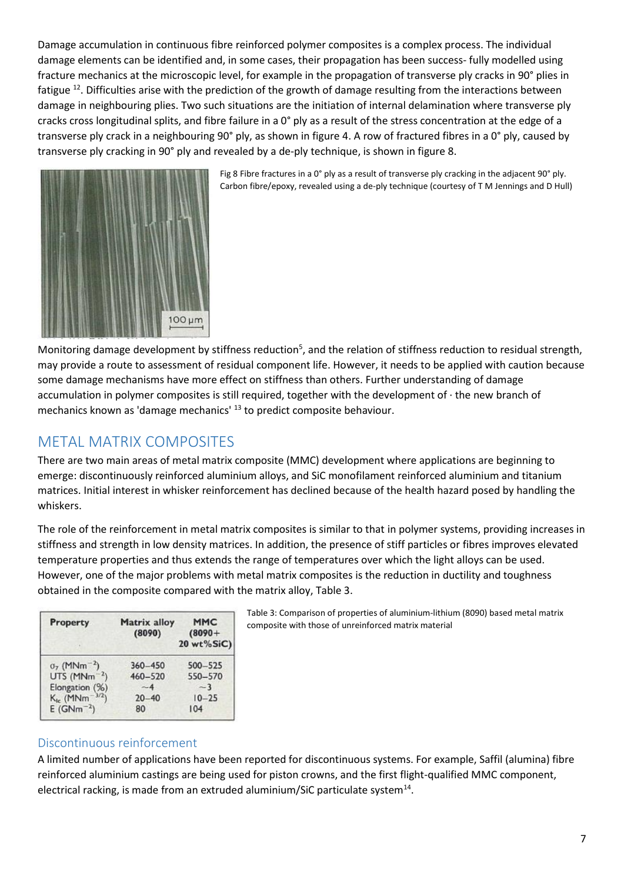Damage accumulation in continuous fibre reinforced polymer composites is a complex process. The individual damage elements can be identified and, in some cases, their propagation has been success- fully modelled using fracture mechanics at the microscopic level, for example in the propagation of transverse ply cracks in 90° plies in fatigue <sup>12</sup>. Difficulties arise with the prediction of the growth of damage resulting from the interactions between damage in neighbouring plies. Two such situations are the initiation of internal delamination where transverse ply cracks cross longitudinal splits, and fibre failure in a 0° ply as a result of the stress concentration at the edge of a transverse ply crack in a neighbouring 90° ply, as shown in figure 4. A row of fractured fibres in a 0° ply, caused by transverse ply cracking in 90° ply and revealed by a de-ply technique, is shown in figure 8.



Fig 8 Fibre fractures in a 0° ply as a result of transverse ply cracking in the adjacent 90° ply. Carbon fibre/epoxy, revealed using a de-ply technique (courtesy of T M Jennings and D Hull)

Monitoring damage development by stiffness reduction<sup>5</sup>, and the relation of stiffness reduction to residual strength, may provide a route to assessment of residual component life. However, it needs to be applied with caution because some damage mechanisms have more effect on stiffness than others. Further understanding of damage accumulation in polymer composites is still required, together with the development of · the new branch of mechanics known as 'damage mechanics' <sup>13</sup> to predict composite behaviour.

## METAL MATRIX COMPOSITES

There are two main areas of metal matrix composite (MMC) development where applications are beginning to emerge: discontinuously reinforced aluminium alloys, and SiC monofilament reinforced aluminium and titanium matrices. Initial interest in whisker reinforcement has declined because of the health hazard posed by handling the whiskers.

The role of the reinforcement in metal matrix composites is similar to that in polymer systems, providing increases in stiffness and strength in low density matrices. In addition, the presence of stiff particles or fibres improves elevated temperature properties and thus extends the range of temperatures over which the light alloys can be used. However, one of the major problems with metal matrix composites is the reduction in ductility and toughness obtained in the composite compared with the matrix alloy, Table 3.

| Property                                   | <b>Matrix alloy</b><br>(8090) | <b>MMC</b><br>$(8090 +$<br>20 wt%SiC) |
|--------------------------------------------|-------------------------------|---------------------------------------|
| $\sigma$ <sub>7</sub> (MNm <sup>-2</sup> ) | $360 - 450$                   | $500 - 525$                           |
| UTS ( $MNm^{-2}$ )                         | $460 - 520$                   | 550-570                               |
| Elongation (%)                             | $-4$                          | $-3$                                  |
| $K_{1c}$ (MNm <sup>-3/2</sup> )            | $20 - 40$                     | $10 - 25$                             |
| $E(GNm^{-2})$                              | 80                            | 104                                   |

Table 3: Comparison of properties of aluminium-lithium (8090) based metal matrix composite with those of unreinforced matrix material

#### Discontinuous reinforcement

A limited number of applications have been reported for discontinuous systems. For example, Saffil (alumina) fibre reinforced aluminium castings are being used for piston crowns, and the first flight-qualified MMC component, electrical racking, is made from an extruded aluminium/SiC particulate system<sup>14</sup>.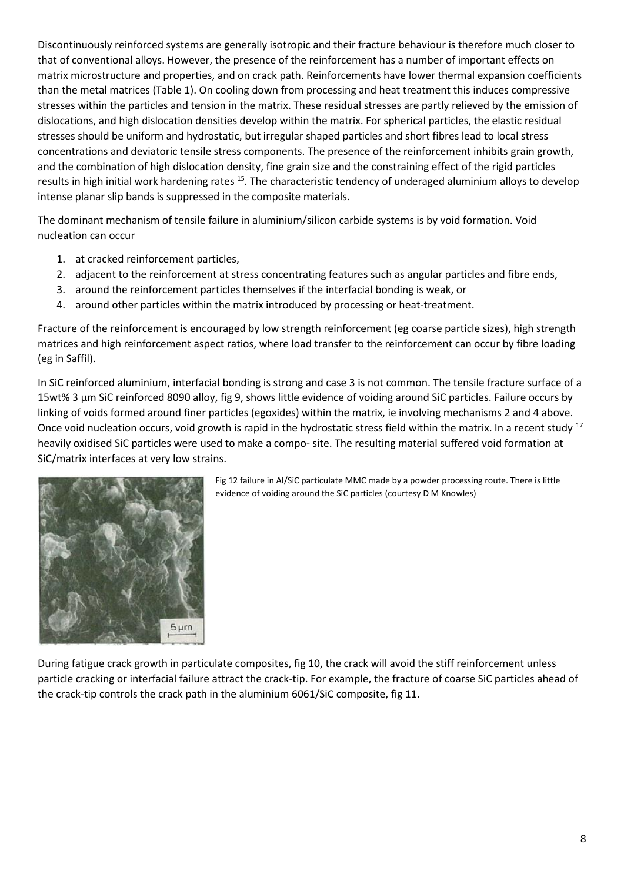Discontinuously reinforced systems are generally isotropic and their fracture behaviour is therefore much closer to that of conventional alloys. However, the presence of the reinforcement has a number of important effects on matrix microstructure and properties, and on crack path. Reinforcements have lower thermal expansion coefficients than the metal matrices (Table 1). On cooling down from processing and heat treatment this induces compressive stresses within the particles and tension in the matrix. These residual stresses are partly relieved by the emission of dislocations, and high dislocation densities develop within the matrix. For spherical particles, the elastic residual stresses should be uniform and hydrostatic, but irregular shaped particles and short fibres lead to local stress concentrations and deviatoric tensile stress components. The presence of the reinforcement inhibits grain growth, and the combination of high dislocation density, fine grain size and the constraining effect of the rigid particles results in high initial work hardening rates <sup>15</sup>. The characteristic tendency of underaged aluminium alloys to develop intense planar slip bands is suppressed in the composite materials.

The dominant mechanism of tensile failure in aluminium/silicon carbide systems is by void formation. Void nucleation can occur

- 1. at cracked reinforcement particles,
- 2. adjacent to the reinforcement at stress concentrating features such as angular particles and fibre ends,
- 3. around the reinforcement particles themselves if the interfacial bonding is weak, or
- 4. around other particles within the matrix introduced by processing or heat-treatment.

Fracture of the reinforcement is encouraged by low strength reinforcement (eg coarse particle sizes), high strength matrices and high reinforcement aspect ratios, where load transfer to the reinforcement can occur by fibre loading (eg in Saffil).

In SiC reinforced aluminium, interfacial bonding is strong and case 3 is not common. The tensile fracture surface of a 15wt% 3 μm SiC reinforced 8090 alloy, fig 9, shows little evidence of voiding around SiC particles. Failure occurs by linking of voids formed around finer particles (egoxides) within the matrix, ie involving mechanisms 2 and 4 above. Once void nucleation occurs, void growth is rapid in the hydrostatic stress field within the matrix. In a recent study <sup>17</sup> heavily oxidised SiC particles were used to make a compo- site. The resulting material suffered void formation at SiC/matrix interfaces at very low strains.



Fig 12 failure in AI/SiC particulate MMC made by a powder processing route. There is little evidence of voiding around the SiC particles (courtesy D M Knowles)

During fatigue crack growth in particulate composites, fig 10, the crack will avoid the stiff reinforcement unless particle cracking or interfacial failure attract the crack-tip. For example, the fracture of coarse SiC particles ahead of the crack-tip controls the crack path in the aluminium 6061/SiC composite, fig 11.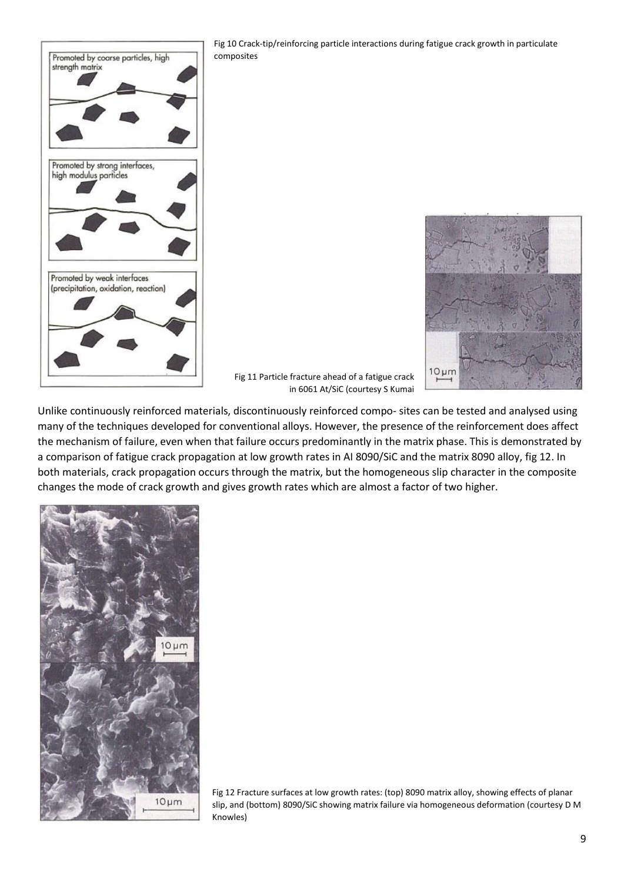

Fig 10 Crack-tip/reinforcing particle interactions during fatigue crack growth in particulate composites

Fig 11 Particle fracture ahead of a fatigue crack in 6061 At/SiC (courtesy S Kumai



Unlike continuously reinforced materials, discontinuously reinforced compo- sites can be tested and analysed using many of the techniques developed for conventional alloys. However, the presence of the reinforcement does affect the mechanism of failure, even when that failure occurs predominantly in the matrix phase. This is demonstrated by a comparison of fatigue crack propagation at low growth rates in AI 8090/SiC and the matrix 8090 alloy, fig 12. In both materials, crack propagation occurs through the matrix, but the homogeneous slip character in the composite changes the mode of crack growth and gives growth rates which are almost a factor of two higher.



Fig 12 Fracture surfaces at low growth rates: (top) 8090 matrix alloy, showing effects of planar slip, and (bottom) 8090/SiC showing matrix failure via homogeneous deformation (courtesy D M Knowles)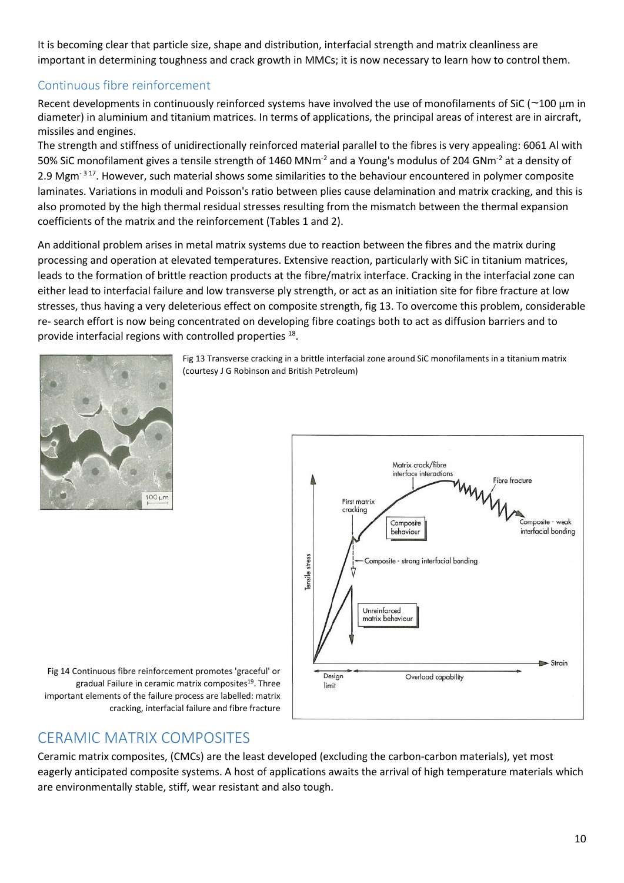It is becoming clear that particle size, shape and distribution, interfacial strength and matrix cleanliness are important in determining toughness and crack growth in MMCs; it is now necessary to learn how to control them.

### Continuous fibre reinforcement

Recent developments in continuously reinforced systems have involved the use of monofilaments of SiC (~100 μm in diameter) in aluminium and titanium matrices. In terms of applications, the principal areas of interest are in aircraft, missiles and engines.

The strength and stiffness of unidirectionally reinforced material parallel to the fibres is very appealing: 6061 Al with 50% SiC monofilament gives a tensile strength of 1460 MNm-2 and a Young's modulus of 204 GNm-2 at a density of 2.9 Mgm<sup>-317</sup>. However, such material shows some similarities to the behaviour encountered in polymer composite laminates. Variations in moduli and Poisson's ratio between plies cause delamination and matrix cracking, and this is also promoted by the high thermal residual stresses resulting from the mismatch between the thermal expansion coefficients of the matrix and the reinforcement (Tables 1 and 2).

An additional problem arises in metal matrix systems due to reaction between the fibres and the matrix during processing and operation at elevated temperatures. Extensive reaction, particularly with SiC in titanium matrices, leads to the formation of brittle reaction products at the fibre/matrix interface. Cracking in the interfacial zone can either lead to interfacial failure and low transverse ply strength, or act as an initiation site for fibre fracture at low stresses, thus having a very deleterious effect on composite strength, fig 13. To overcome this problem, considerable re- search effort is now being concentrated on developing fibre coatings both to act as diffusion barriers and to provide interfacial regions with controlled properties <sup>18</sup>.



Fig 13 Transverse cracking in a brittle interfacial zone around SiC monofilaments in a titanium matrix (courtesy J G Robinson and British Petroleum)



Fig 14 Continuous fibre reinforcement promotes 'graceful' or gradual Failure in ceramic matrix composites<sup>19</sup>. Three important elements of the failure process are labelled: matrix cracking, interfacial failure and fibre fracture

## CERAMIC MATRIX COMPOSITES

Ceramic matrix composites, (CMCs) are the least developed (excluding the carbon-carbon materials), yet most eagerly anticipated composite systems. A host of applications awaits the arrival of high temperature materials which are environmentally stable, stiff, wear resistant and also tough.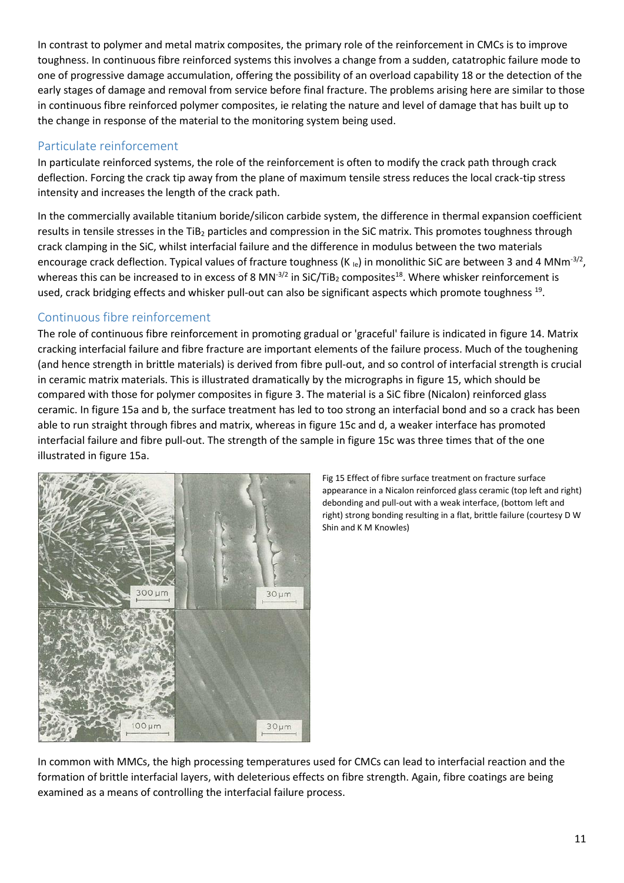In contrast to polymer and metal matrix composites, the primary role of the reinforcement in CMCs is to improve toughness. In continuous fibre reinforced systems this involves a change from a sudden, catatrophic failure mode to one of progressive damage accumulation, offering the possibility of an overload capability 18 or the detection of the early stages of damage and removal from service before final fracture. The problems arising here are similar to those in continuous fibre reinforced polymer composites, ie relating the nature and level of damage that has built up to the change in response of the material to the monitoring system being used.

#### Particulate reinforcement

In particulate reinforced systems, the role of the reinforcement is often to modify the crack path through crack deflection. Forcing the crack tip away from the plane of maximum tensile stress reduces the local crack-tip stress intensity and increases the length of the crack path.

In the commercially available titanium boride/silicon carbide system, the difference in thermal expansion coefficient results in tensile stresses in the TiB<sub>2</sub> particles and compression in the SiC matrix. This promotes toughness through crack clamping in the SiC, whilst interfacial failure and the difference in modulus between the two materials encourage crack deflection. Typical values of fracture toughness (K<sub>le</sub>) in monolithic SiC are between 3 and 4 MNm<sup>-3/2</sup>, whereas this can be increased to in excess of 8 MN<sup>-3/2</sup> in SiC/TiB<sub>2</sub> composites<sup>18</sup>. Where whisker reinforcement is used, crack bridging effects and whisker pull-out can also be significant aspects which promote toughness <sup>19</sup>.

#### Continuous fibre reinforcement

The role of continuous fibre reinforcement in promoting gradual or 'graceful' failure is indicated in figure 14. Matrix cracking interfacial failure and fibre fracture are important elements of the failure process. Much of the toughening (and hence strength in brittle materials) is derived from fibre pull-out, and so control of interfacial strength is crucial in ceramic matrix materials. This is illustrated dramatically by the micrographs in figure 15, which should be compared with those for polymer composites in figure 3. The material is a SiC fibre (Nicalon) reinforced glass ceramic. In figure 15a and b, the surface treatment has led to too strong an interfacial bond and so a crack has been able to run straight through fibres and matrix, whereas in figure 15c and d, a weaker interface has promoted interfacial failure and fibre pull-out. The strength of the sample in figure 15c was three times that of the one illustrated in figure 15a.



Fig 15 Effect of fibre surface treatment on fracture surface appearance in a Nicalon reinforced glass ceramic (top left and right) debonding and pull-out with a weak interface, (bottom left and right) strong bonding resulting in a flat, brittle failure (courtesy D W Shin and K M Knowles)

In common with MMCs, the high processing temperatures used for CMCs can lead to interfacial reaction and the formation of brittle interfacial layers, with deleterious effects on fibre strength. Again, fibre coatings are being examined as a means of controlling the interfacial failure process.